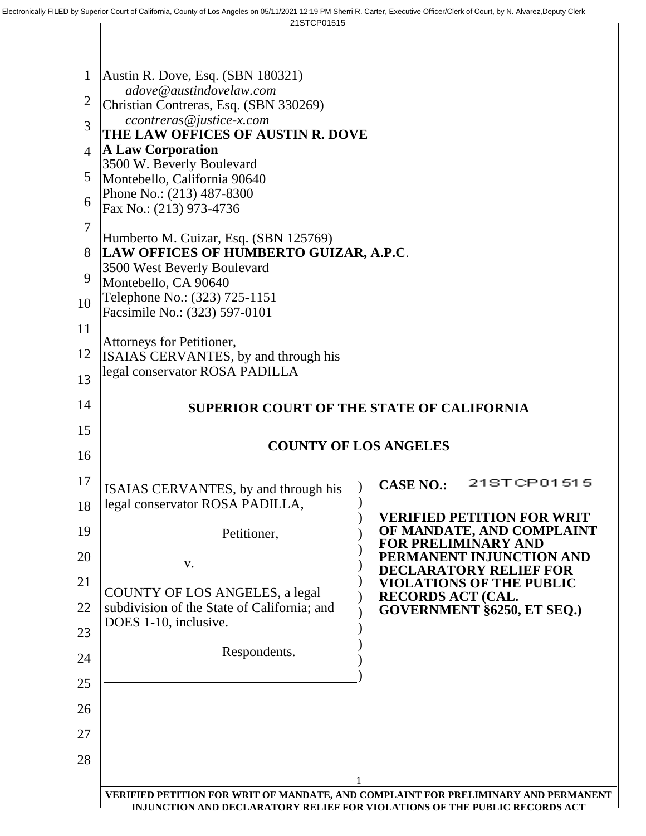| 1              | Austin R. Dove, Esq. $(SBN 180321)$                                                           |                                                                                    |  |  |  |
|----------------|-----------------------------------------------------------------------------------------------|------------------------------------------------------------------------------------|--|--|--|
| $\overline{2}$ | adove@austindovelaw.com<br>Christian Contreras, Esq. (SBN 330269)<br>ccontreras@justice-x.com |                                                                                    |  |  |  |
| 3              |                                                                                               |                                                                                    |  |  |  |
| $\overline{4}$ | THE LAW OFFICES OF AUSTIN R. DOVE<br>A Law Corporation                                        |                                                                                    |  |  |  |
|                | 3500 W. Beverly Boulevard<br>Montebello, California 90640<br>Phone No.: (213) 487-8300        |                                                                                    |  |  |  |
| 5              |                                                                                               |                                                                                    |  |  |  |
| 6              | Fax No.: (213) 973-4736                                                                       |                                                                                    |  |  |  |
| $\overline{7}$ | Humberto M. Guizar, Esq. (SBN 125769)                                                         |                                                                                    |  |  |  |
| 8              | LAW OFFICES OF HUMBERTO GUIZAR, A.P.C.<br>3500 West Beverly Boulevard                         |                                                                                    |  |  |  |
| 9              | Montebello, CA 90640                                                                          |                                                                                    |  |  |  |
| 10             | Telephone No.: (323) 725-1151<br>Facsimile No.: (323) 597-0101                                |                                                                                    |  |  |  |
| 11             | Attorneys for Petitioner,                                                                     |                                                                                    |  |  |  |
| 12             | ISAIAS CERVANTES, by and through his                                                          |                                                                                    |  |  |  |
| 13             | legal conservator ROSA PADILLA                                                                |                                                                                    |  |  |  |
| 14             | <b>SUPERIOR COURT OF THE STATE OF CALIFORNIA</b>                                              |                                                                                    |  |  |  |
| 15             |                                                                                               |                                                                                    |  |  |  |
| 16             |                                                                                               | <b>COUNTY OF LOS ANGELES</b>                                                       |  |  |  |
| 17             | ISAIAS CERVANTES, by and through his                                                          | 21STCP01515<br><b>CASE NO.:</b>                                                    |  |  |  |
| 18             | legal conservator ROSA PADILLA,                                                               |                                                                                    |  |  |  |
| 19             | Petitioner,                                                                                   | VERIFIED PETITION FOR WRIT<br>OF MANDATE, AND COMPLAINT                            |  |  |  |
| 20             | V.                                                                                            | <b>FOR PRELIMINARY AND</b><br>PERMANENT INJUNCTION AND                             |  |  |  |
| 21             |                                                                                               | <b>DECLARATORY RELIEF FOR</b><br><b>VIOLATIONS OF THE PUBLIC</b>                   |  |  |  |
| 22             | COUNTY OF LOS ANGELES, a legal<br>subdivision of the State of California; and                 | <b>RECORDS ACT (CAL.</b><br>GOVERNMENT §6250, ET SEQ.)                             |  |  |  |
| 23             | DOES 1-10, inclusive.                                                                         |                                                                                    |  |  |  |
| 24             | Respondents.                                                                                  |                                                                                    |  |  |  |
| 25             |                                                                                               |                                                                                    |  |  |  |
| 26             |                                                                                               |                                                                                    |  |  |  |
| 27             |                                                                                               |                                                                                    |  |  |  |
| 28             |                                                                                               |                                                                                    |  |  |  |
|                |                                                                                               |                                                                                    |  |  |  |
|                |                                                                                               | VERIFIED PETITION FOR WRIT OF MANDATE, AND COMPLAINT FOR PRELIMINARY AND PERMANENT |  |  |  |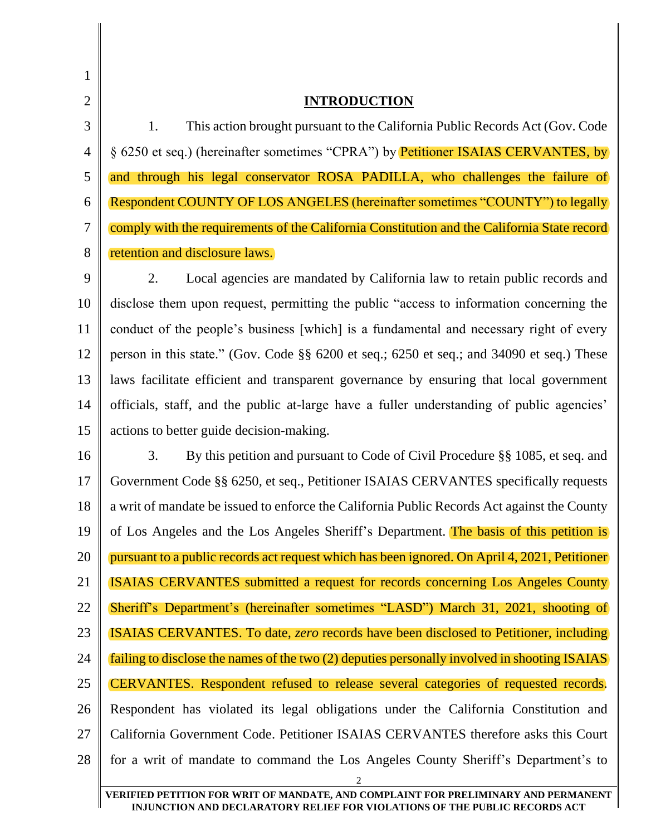| 1              |                                                                                                                                                                  |
|----------------|------------------------------------------------------------------------------------------------------------------------------------------------------------------|
| $\overline{2}$ | <b>INTRODUCTION</b>                                                                                                                                              |
| 3              | This action brought pursuant to the California Public Records Act (Gov. Code<br>1.                                                                               |
| $\overline{4}$ | § 6250 et seq.) (hereinafter sometimes "CPRA") by <b>Petitioner ISAIAS CERVANTES, by</b>                                                                         |
| 5              | and through his legal conservator ROSA PADILLA, who challenges the failure of                                                                                    |
| 6              | Respondent COUNTY OF LOS ANGELES (hereinafter sometimes "COUNTY") to legally                                                                                     |
| 7              | comply with the requirements of the California Constitution and the California State record                                                                      |
| 8              | retention and disclosure laws.                                                                                                                                   |
| 9              | Local agencies are mandated by California law to retain public records and<br>2.                                                                                 |
| 10             | disclose them upon request, permitting the public "access to information concerning the                                                                          |
| 11             | conduct of the people's business [which] is a fundamental and necessary right of every                                                                           |
| 12             | person in this state." (Gov. Code §§ 6200 et seq.; 6250 et seq.; and 34090 et seq.) These                                                                        |
| 13             | laws facilitate efficient and transparent governance by ensuring that local government                                                                           |
| 14             | officials, staff, and the public at-large have a fuller understanding of public agencies'                                                                        |
| 15             | actions to better guide decision-making.                                                                                                                         |
| 16             | By this petition and pursuant to Code of Civil Procedure §§ 1085, et seq. and<br>3.                                                                              |
| 17             | Government Code §§ 6250, et seq., Petitioner ISAIAS CERVANTES specifically requests                                                                              |
| 18             | a writ of mandate be issued to enforce the California Public Records Act against the County                                                                      |
| 19             | of Los Angeles and the Los Angeles Sheriff's Department. The basis of this petition is                                                                           |
| 20             | pursuant to a public records act request which has been ignored. On April 4, 2021, Petitioner                                                                    |
| 21             | <b>ISAIAS CERVANTES</b> submitted a request for records concerning Los Angeles County                                                                            |
| 22             | Sheriff's Department's (hereinafter sometimes "LASD") March 31, 2021, shooting of                                                                                |
| 23             | <b>ISAIAS CERVANTES.</b> To date, <i>zero</i> records have been disclosed to Petitioner, including                                                               |
| 24             | failing to disclose the names of the two (2) deputies personally involved in shooting ISAIAS                                                                     |
| 25             | CERVANTES. Respondent refused to release several categories of requested records.                                                                                |
| 26             | Respondent has violated its legal obligations under the California Constitution and                                                                              |
| 27             | California Government Code. Petitioner ISAIAS CERVANTES therefore asks this Court                                                                                |
| 28             | for a writ of mandate to command the Los Angeles County Sheriff's Department's to<br>$\overline{2}$                                                              |
|                | VERIFIED PETITION FOR WRIT OF MANDATE, AND COMPLAINT FOR PRELIMINARY AND PERMANENT<br>INJUNCTION AND DECLARATORY RELIEF FOR VIOLATIONS OF THE PUBLIC RECORDS ACT |

Ι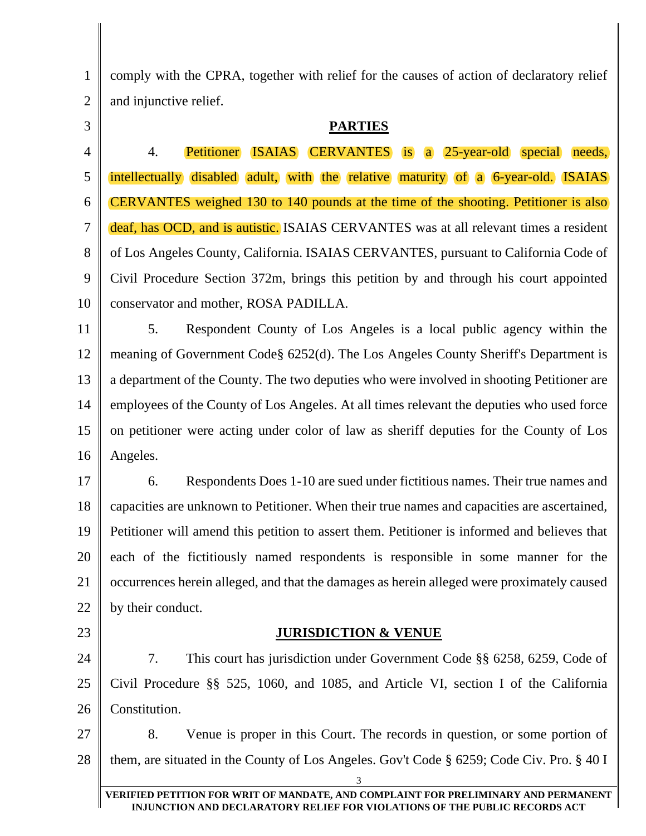1 2 comply with the CPRA, together with relief for the causes of action of declaratory relief and injunctive relief.

3

### **PARTIES**

4 5 6 7 8 9 10 4. Petitioner ISAIAS CERVANTES is a 25-year-old special needs, intellectually disabled adult, with the relative maturity of a 6-year-old. ISAIAS CERVANTES weighed 130 to 140 pounds at the time of the shooting. Petitioner is also deaf, has OCD, and is autistic. ISAIAS CERVANTES was at all relevant times a resident of Los Angeles County, California. ISAIAS CERVANTES, pursuant to California Code of Civil Procedure Section 372m, brings this petition by and through his court appointed conservator and mother, ROSA PADILLA.

11 12 13 14 15 16 5. Respondent County of Los Angeles is a local public agency within the meaning of Government Code§ 6252(d). The Los Angeles County Sheriff's Department is a department of the County. The two deputies who were involved in shooting Petitioner are employees of the County of Los Angeles. At all times relevant the deputies who used force on petitioner were acting under color of law as sheriff deputies for the County of Los Angeles.

17 18 19 20 21 22 6. Respondents Does 1-10 are sued under fictitious names. Their true names and capacities are unknown to Petitioner. When their true names and capacities are ascertained, Petitioner will amend this petition to assert them. Petitioner is informed and believes that each of the fictitiously named respondents is responsible in some manner for the occurrences herein alleged, and that the damages as herein alleged were proximately caused by their conduct.

23

## **JURISDICTION & VENUE**

24 25 26 7. This court has jurisdiction under Government Code §§ 6258, 6259, Code of Civil Procedure §§ 525, 1060, and 1085, and Article VI, section I of the California Constitution.

27 28 8. Venue is proper in this Court. The records in question, or some portion of them, are situated in the County of Los Angeles. Gov't Code § 6259; Code Civ. Pro. § 40 I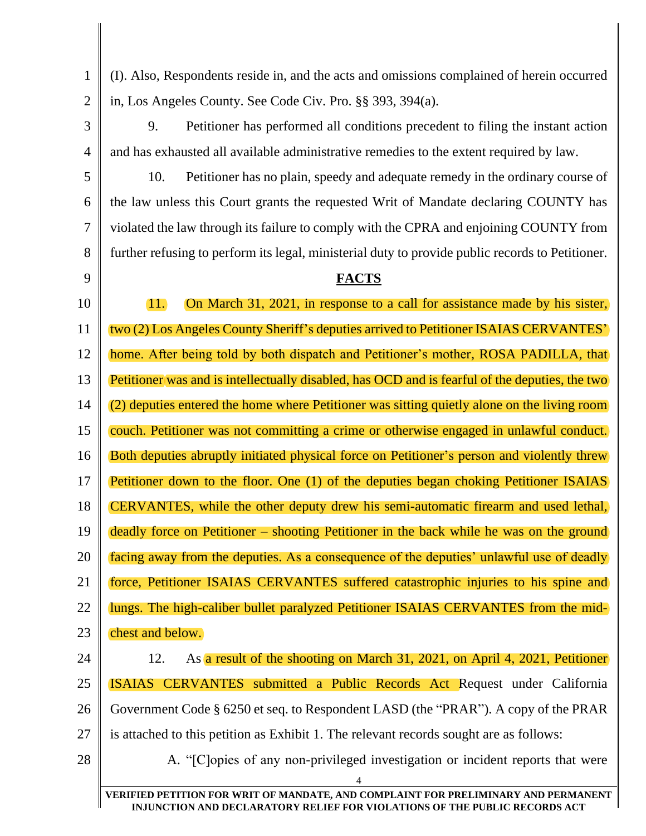(I). Also, Respondents reside in, and the acts and omissions complained of herein occurred in, Los Angeles County. See Code Civ. Pro. §§ 393, 394(a).

3 4 9. Petitioner has performed all conditions precedent to filing the instant action and has exhausted all available administrative remedies to the extent required by law.

10. Petitioner has no plain, speedy and adequate remedy in the ordinary course of the law unless this Court grants the requested Writ of Mandate declaring COUNTY has violated the law through its failure to comply with the CPRA and enjoining COUNTY from further refusing to perform its legal, ministerial duty to provide public records to Petitioner.

# 9

1

2

5

6

7

8

## **FACTS**

10 11 12 13 14 15 16 17 18 19 20 21 22 23 24 11. On March 31, 2021, in response to a call for assistance made by his sister, two (2) Los Angeles County Sheriff's deputies arrived to Petitioner ISAIAS CERVANTES' home. After being told by both dispatch and Petitioner's mother, ROSA PADILLA, that Petitioner was and is intellectually disabled, has OCD and is fearful of the deputies, the two (2) deputies entered the home where Petitioner was sitting quietly alone on the living room couch. Petitioner was not committing a crime or otherwise engaged in unlawful conduct. Both deputies abruptly initiated physical force on Petitioner's person and violently threw Petitioner down to the floor. One (1) of the deputies began choking Petitioner ISAIAS CERVANTES, while the other deputy drew his semi-automatic firearm and used lethal, deadly force on Petitioner – shooting Petitioner in the back while he was on the ground facing away from the deputies. As a consequence of the deputies' unlawful use of deadly force, Petitioner ISAIAS CERVANTES suffered catastrophic injuries to his spine and lungs. The high-caliber bullet paralyzed Petitioner ISAIAS CERVANTES from the midchest and below. 12. As a result of the shooting on March 31, 2021, on April 4, 2021, Petitioner

25 ISAIAS CERVANTES submitted a Public Records Act Request under California

26 Government Code § 6250 et seq. to Respondent LASD (the "PRAR"). A copy of the PRAR

27 is attached to this petition as Exhibit 1. The relevant records sought are as follows:

28

A. "[C]opies of any non-privileged investigation or incident reports that were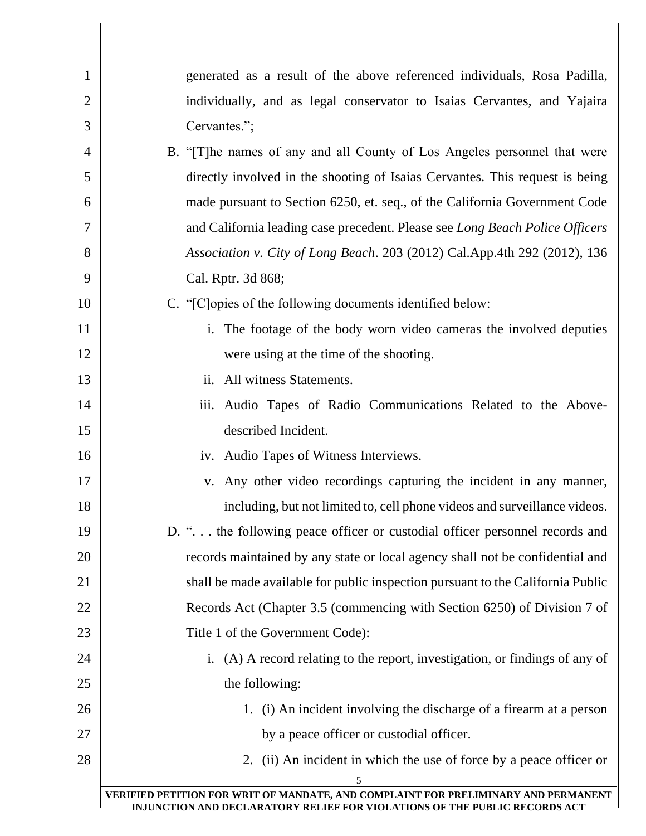| $\mathbf{1}$   | generated as a result of the above referenced individuals, Rosa Padilla,                |
|----------------|-----------------------------------------------------------------------------------------|
| $\overline{2}$ | individually, and as legal conservator to Isaias Cervantes, and Yajaira                 |
| 3              | Cervantes.";                                                                            |
| 4              | B. "[T] he names of any and all County of Los Angeles personnel that were               |
| 5              | directly involved in the shooting of Isaias Cervantes. This request is being            |
| 6              | made pursuant to Section 6250, et. seq., of the California Government Code              |
| 7              | and California leading case precedent. Please see Long Beach Police Officers            |
| 8              | Association v. City of Long Beach. 203 (2012) Cal.App.4th 292 (2012), 136               |
| 9              | Cal. Rptr. 3d 868;                                                                      |
| 10             | C. "[C] opies of the following documents identified below:                              |
| 11             | i. The footage of the body worn video cameras the involved deputies                     |
| 12             | were using at the time of the shooting.                                                 |
| 13             | ii. All witness Statements.                                                             |
| 14             | iii. Audio Tapes of Radio Communications Related to the Above-                          |
| 15             | described Incident.                                                                     |
| 16             | iv. Audio Tapes of Witness Interviews.                                                  |
| 17             | v. Any other video recordings capturing the incident in any manner,                     |
| 18             | including, but not limited to, cell phone videos and surveillance videos.               |
| 19             | D. " the following peace officer or custodial officer personnel records and             |
| 20             | records maintained by any state or local agency shall not be confidential and           |
| 21             | shall be made available for public inspection pursuant to the California Public         |
| 22             | Records Act (Chapter 3.5 (commencing with Section 6250) of Division 7 of                |
| 23             | Title 1 of the Government Code):                                                        |
| 24             | i. (A) A record relating to the report, investigation, or findings of any of            |
| 25             | the following:                                                                          |
| 26             | 1. (i) An incident involving the discharge of a firearm at a person                     |
| 27             | by a peace officer or custodial officer.                                                |
| 28             | 2. (ii) An incident in which the use of force by a peace officer or                     |
|                | 5<br>VERIFIED PETITION FOR WRIT OF MANDATE, AND COMPLAINT FOR PRELIMINARY AND PERMANENT |
|                | INJUNCTION AND DECLARATORY RELIEF FOR VIOLATIONS OF THE PUBLIC RECORDS ACT              |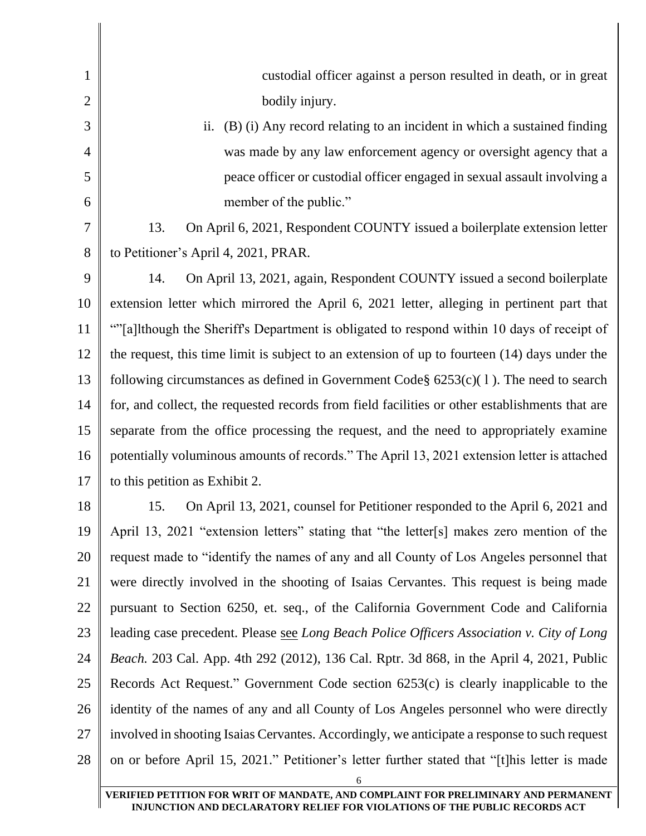| 1              | custodial officer against a person resulted in death, or in great                               |
|----------------|-------------------------------------------------------------------------------------------------|
| $\overline{2}$ | bodily injury.                                                                                  |
| 3              | (B) (i) Any record relating to an incident in which a sustained finding<br>ii.                  |
| 4              | was made by any law enforcement agency or oversight agency that a                               |
| 5              | peace officer or custodial officer engaged in sexual assault involving a                        |
| 6              | member of the public."                                                                          |
| 7              | 13.<br>On April 6, 2021, Respondent COUNTY issued a boilerplate extension letter                |
| 8              | to Petitioner's April 4, 2021, PRAR.                                                            |
| 9              | 14.<br>On April 13, 2021, again, Respondent COUNTY issued a second boilerplate                  |
| 10             | extension letter which mirrored the April 6, 2021 letter, alleging in pertinent part that       |
| 11             | ""[a]lthough the Sheriff's Department is obligated to respond within 10 days of receipt of      |
| 12             | the request, this time limit is subject to an extension of up to fourteen $(14)$ days under the |
| 13             | following circumstances as defined in Government Code $\S$ 6253(c)(1). The need to search       |
| 14             | for, and collect, the requested records from field facilities or other establishments that are  |
| 15             | separate from the office processing the request, and the need to appropriately examine          |
| 16             | potentially voluminous amounts of records." The April 13, 2021 extension letter is attached     |
| 17             | to this petition as Exhibit 2.                                                                  |
| 18             | On April 13, 2021, counsel for Petitioner responded to the April 6, 2021 and<br>15.             |
| 19             | April 13, 2021 "extension letters" stating that "the letter[s] makes zero mention of the        |
| 20             | request made to "identify the names of any and all County of Los Angeles personnel that         |
| 21             | were directly involved in the shooting of Isaias Cervantes. This request is being made          |
| 22             | pursuant to Section 6250, et. seq., of the California Government Code and California            |
| 23             | leading case precedent. Please see Long Beach Police Officers Association v. City of Long       |
| 24             | <i>Beach.</i> 203 Cal. App. 4th 292 (2012), 136 Cal. Rptr. 3d 868, in the April 4, 2021, Public |
| 25             | Records Act Request." Government Code section 6253(c) is clearly inapplicable to the            |
| 26             | identity of the names of any and all County of Los Angeles personnel who were directly          |
| 27             | involved in shooting Isaias Cervantes. Accordingly, we anticipate a response to such request    |
| 28             | on or before April 15, 2021." Petitioner's letter further stated that "[t]his letter is made    |
|                |                                                                                                 |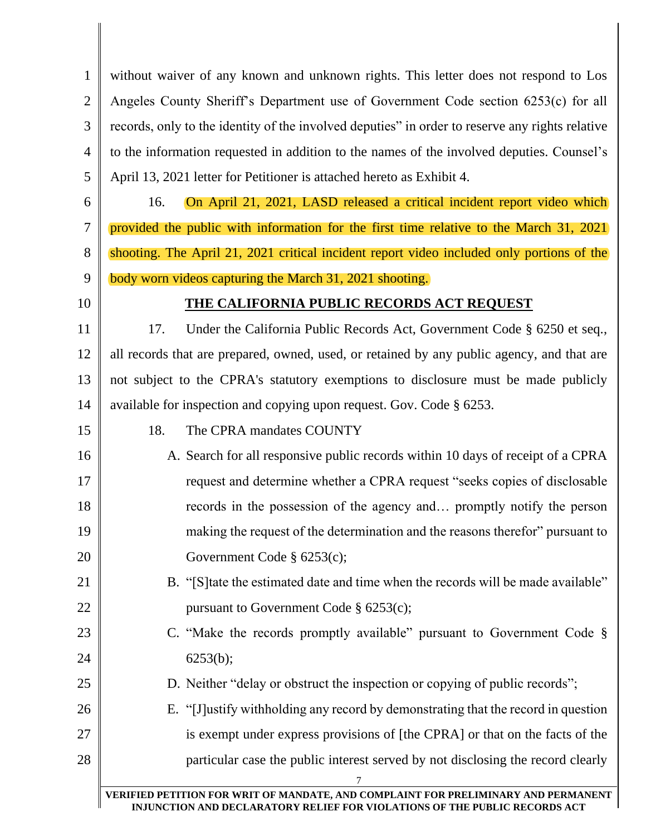1 2 3 4 5 without waiver of any known and unknown rights. This letter does not respond to Los Angeles County Sheriff's Department use of Government Code section 6253(c) for all records, only to the identity of the involved deputies" in order to reserve any rights relative to the information requested in addition to the names of the involved deputies. Counsel's April 13, 2021 letter for Petitioner is attached hereto as Exhibit 4.

6

7

8

16. On April 21, 2021, LASD released a critical incident report video which provided the public with information for the first time relative to the March 31, 2021 shooting. The April 21, 2021 critical incident report video included only portions of the body worn videos capturing the March 31, 2021 shooting.

10

15

21

22

23

24

 $25$ 

9

## **THE CALIFORNIA PUBLIC RECORDS ACT REQUEST**

11 12 13 14 17. Under the California Public Records Act, Government Code § 6250 et seq., all records that are prepared, owned, used, or retained by any public agency, and that are not subject to the CPRA's statutory exemptions to disclosure must be made publicly available for inspection and copying upon request. Gov. Code § 6253.

- 18. The CPRA mandates COUNTY
- 16 17 18 19 20 A. Search for all responsive public records within 10 days of receipt of a CPRA request and determine whether a CPRA request "seeks copies of disclosable records in the possession of the agency and… promptly notify the person making the request of the determination and the reasons therefor" pursuant to Government Code § 6253(c);
	- B. "[S]tate the estimated date and time when the records will be made available" pursuant to Government Code § 6253(c);
	- C. "Make the records promptly available" pursuant to Government Code § 6253(b);
		- D. Neither "delay or obstruct the inspection or copying of public records";
- 26 27 28 E. "[J]ustify withholding any record by demonstrating that the record in question is exempt under express provisions of [the CPRA] or that on the facts of the particular case the public interest served by not disclosing the record clearly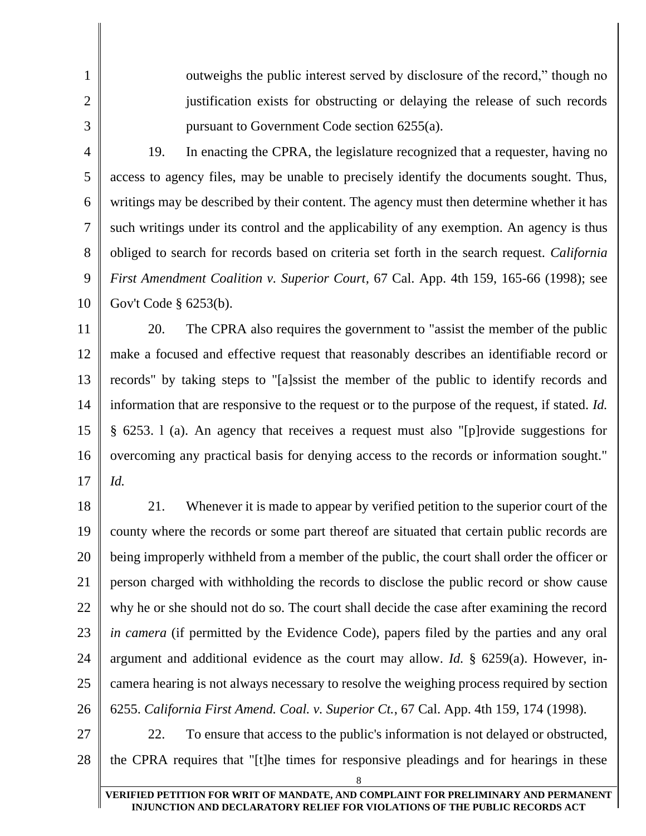2

1

3

outweighs the public interest served by disclosure of the record," though no justification exists for obstructing or delaying the release of such records pursuant to Government Code section 6255(a).

4 5 6 7 8 9 10 19. In enacting the CPRA, the legislature recognized that a requester, having no access to agency files, may be unable to precisely identify the documents sought. Thus, writings may be described by their content. The agency must then determine whether it has such writings under its control and the applicability of any exemption. An agency is thus obliged to search for records based on criteria set forth in the search request. *California First Amendment Coalition v. Superior Court,* 67 Cal. App. 4th 159, 165-66 (1998); see Gov't Code § 6253(b).

11 12 13 14 15 16 17 20. The CPRA also requires the government to "assist the member of the public make a focused and effective request that reasonably describes an identifiable record or records" by taking steps to "[a]ssist the member of the public to identify records and information that are responsive to the request or to the purpose of the request, if stated. *Id.* § 6253. l (a). An agency that receives a request must also "[p]rovide suggestions for overcoming any practical basis for denying access to the records or information sought." *Id.*

18 19 20 21 22 23 24 25 26 21. Whenever it is made to appear by verified petition to the superior court of the county where the records or some part thereof are situated that certain public records are being improperly withheld from a member of the public, the court shall order the officer or person charged with withholding the records to disclose the public record or show cause why he or she should not do so. The court shall decide the case after examining the record *in camera* (if permitted by the Evidence Code), papers filed by the parties and any oral argument and additional evidence as the court may allow. *Id.* § 6259(a). However, incamera hearing is not always necessary to resolve the weighing process required by section 6255. *California First Amend. Coal. v. Superior Ct.*, 67 Cal. App. 4th 159, 174 (1998).

27

28 22. To ensure that access to the public's information is not delayed or obstructed, the CPRA requires that "[t]he times for responsive pleadings and for hearings in these

8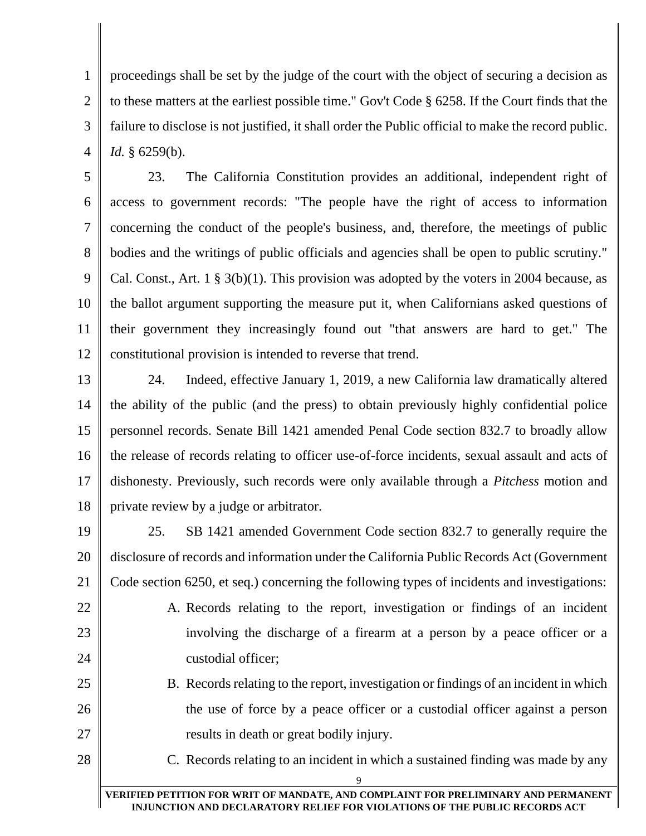1 2 3 4 proceedings shall be set by the judge of the court with the object of securing a decision as to these matters at the earliest possible time." Gov't Code § 6258. If the Court finds that the failure to disclose is not justified, it shall order the Public official to make the record public. *Id.* § 6259(b).

5 6 7 8 9 10 11 12 23. The California Constitution provides an additional, independent right of access to government records: "The people have the right of access to information concerning the conduct of the people's business, and, therefore, the meetings of public bodies and the writings of public officials and agencies shall be open to public scrutiny." Cal. Const., Art. 1 § 3(b)(1). This provision was adopted by the voters in 2004 because, as the ballot argument supporting the measure put it, when Californians asked questions of their government they increasingly found out "that answers are hard to get." The constitutional provision is intended to reverse that trend.

13 14 15 16 17 18 24. Indeed, effective January 1, 2019, a new California law dramatically altered the ability of the public (and the press) to obtain previously highly confidential police personnel records. Senate Bill 1421 amended Penal Code section 832.7 to broadly allow the release of records relating to officer use-of-force incidents, sexual assault and acts of dishonesty. Previously, such records were only available through a *Pitchess* motion and private review by a judge or arbitrator.

19

20 21 25. SB 1421 amended Government Code section 832.7 to generally require the disclosure of records and information under the California Public Records Act (Government Code section 6250, et seq.) concerning the following types of incidents and investigations:

22 23

24

25

26

27

A. Records relating to the report, investigation or findings of an incident involving the discharge of a firearm at a person by a peace officer or a custodial officer;

B. Records relating to the report, investigation or findings of an incident in which the use of force by a peace officer or a custodial officer against a person results in death or great bodily injury.

28

C. Records relating to an incident in which a sustained finding was made by any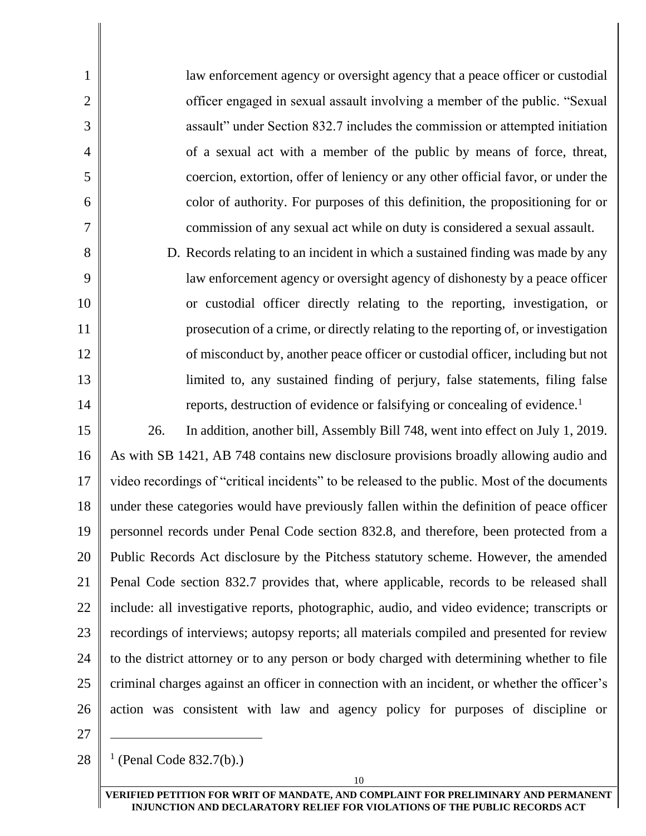law enforcement agency or oversight agency that a peace officer or custodial officer engaged in sexual assault involving a member of the public. "Sexual assault" under Section 832.7 includes the commission or attempted initiation of a sexual act with a member of the public by means of force, threat, coercion, extortion, offer of leniency or any other official favor, or under the color of authority. For purposes of this definition, the propositioning for or commission of any sexual act while on duty is considered a sexual assault.

8 9 10 11 12 13 14 D. Records relating to an incident in which a sustained finding was made by any law enforcement agency or oversight agency of dishonesty by a peace officer or custodial officer directly relating to the reporting, investigation, or prosecution of a crime, or directly relating to the reporting of, or investigation of misconduct by, another peace officer or custodial officer, including but not limited to, any sustained finding of perjury, false statements, filing false reports, destruction of evidence or falsifying or concealing of evidence.<sup>1</sup>

15 16 17 18 19 20 21 22 23 24 25 26 26. In addition, another bill, Assembly Bill 748, went into effect on July 1, 2019. As with SB 1421, AB 748 contains new disclosure provisions broadly allowing audio and video recordings of "critical incidents" to be released to the public. Most of the documents under these categories would have previously fallen within the definition of peace officer personnel records under Penal Code section 832.8, and therefore, been protected from a Public Records Act disclosure by the Pitchess statutory scheme. However, the amended Penal Code section 832.7 provides that, where applicable, records to be released shall include: all investigative reports, photographic, audio, and video evidence; transcripts or recordings of interviews; autopsy reports; all materials compiled and presented for review to the district attorney or to any person or body charged with determining whether to file criminal charges against an officer in connection with an incident, or whether the officer's action was consistent with law and agency policy for purposes of discipline or

27

1

2

3

4

5

6

7

28 1 (Penal Code 832.7(b).)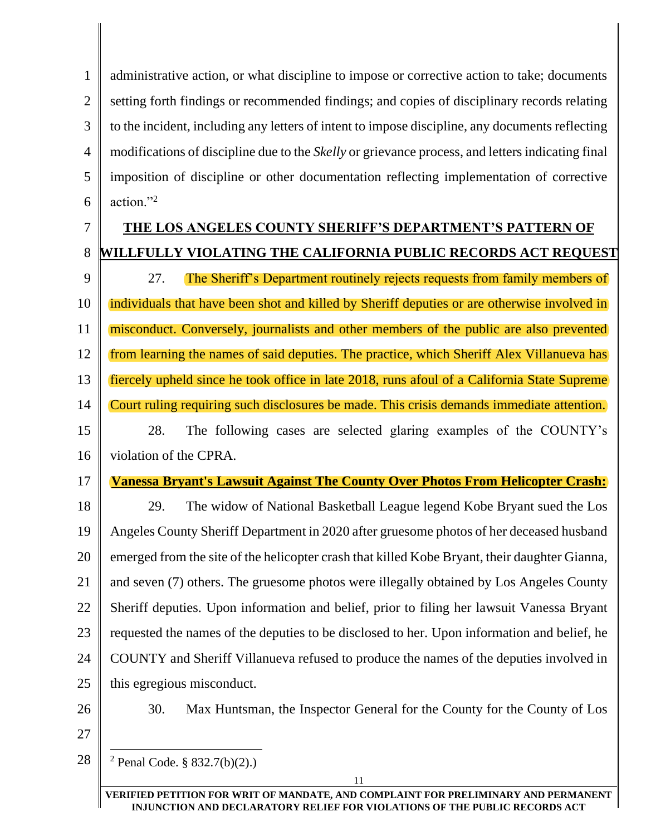1 2 3 4 5 6 administrative action, or what discipline to impose or corrective action to take; documents setting forth findings or recommended findings; and copies of disciplinary records relating to the incident, including any letters of intent to impose discipline, any documents reflecting modifications of discipline due to the *Skelly* or grievance process, and letters indicating final imposition of discipline or other documentation reflecting implementation of corrective action."<sup>2</sup>

#### 7 8 **THE LOS ANGELES COUNTY SHERIFF'S DEPARTMENT'S PATTERN OF WILLFULLY VIOLATING THE CALIFORNIA PUBLIC RECORDS ACT REQUEST**

9 10 11 12 13 14 27. The Sheriff's Department routinely rejects requests from family members of individuals that have been shot and killed by Sheriff deputies or are otherwise involved in misconduct. Conversely, journalists and other members of the public are also prevented from learning the names of said deputies. The practice, which Sheriff Alex Villanueva has fiercely upheld since he took office in late 2018, runs afoul of a California State Supreme Court ruling requiring such disclosures be made. This crisis demands immediate attention.

#### 15 16 28. The following cases are selected glaring examples of the COUNTY's violation of the CPRA.

# **Vanessa Bryant's Lawsuit Against The County Over Photos From Helicopter Crash:**

18 19 20 21 22 23 24 25 29. The widow of National Basketball League legend Kobe Bryant sued the Los Angeles County Sheriff Department in 2020 after gruesome photos of her deceased husband emerged from the site of the helicopter crash that killed Kobe Bryant, their daughter Gianna, and seven (7) others. The gruesome photos were illegally obtained by Los Angeles County Sheriff deputies. Upon information and belief, prior to filing her lawsuit Vanessa Bryant requested the names of the deputies to be disclosed to her. Upon information and belief, he COUNTY and Sheriff Villanueva refused to produce the names of the deputies involved in this egregious misconduct.

## 26

17

30. Max Huntsman, the Inspector General for the County for the County of Los

- 27
- 28  $2$  Penal Code. § 832.7(b)(2).)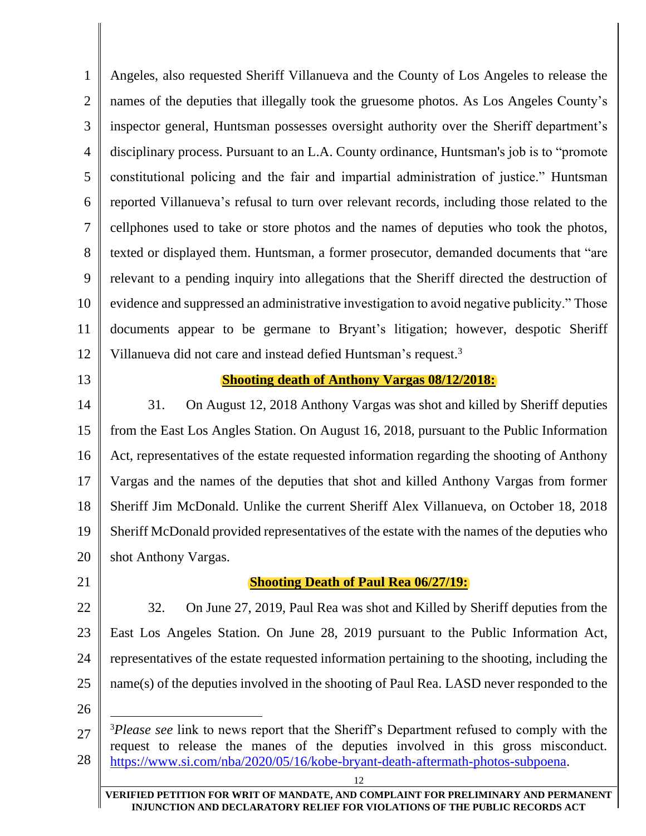1 2 3 4 5 6 7 8 9 10 11 12 Angeles, also requested Sheriff Villanueva and the County of Los Angeles to release the names of the deputies that illegally took the gruesome photos. As Los Angeles County's inspector general, Huntsman possesses oversight authority over the Sheriff department's disciplinary process. Pursuant to an L.A. County ordinance, Huntsman's job is to "promote constitutional policing and the fair and impartial administration of justice." Huntsman reported Villanueva's refusal to turn over relevant records, including those related to the cellphones used to take or store photos and the names of deputies who took the photos, texted or displayed them. Huntsman, a former prosecutor, demanded documents that "are relevant to a pending inquiry into allegations that the Sheriff directed the destruction of evidence and suppressed an administrative investigation to avoid negative publicity." Those documents appear to be germane to Bryant's litigation; however, despotic Sheriff Villanueva did not care and instead defied Huntsman's request.<sup>3</sup>

13

#### **Shooting death of Anthony Vargas 08/12/2018:**

14 15 16 17 18 19 20 31. On August 12, 2018 Anthony Vargas was shot and killed by Sheriff deputies from the East Los Angles Station. On August 16, 2018, pursuant to the Public Information Act, representatives of the estate requested information regarding the shooting of Anthony Vargas and the names of the deputies that shot and killed Anthony Vargas from former Sheriff Jim McDonald. Unlike the current Sheriff Alex Villanueva, on October 18, 2018 Sheriff McDonald provided representatives of the estate with the names of the deputies who shot Anthony Vargas.

21

#### **Shooting Death of Paul Rea 06/27/19:**

22 23 24 25 32. On June 27, 2019, Paul Rea was shot and Killed by Sheriff deputies from the East Los Angeles Station. On June 28, 2019 pursuant to the Public Information Act, representatives of the estate requested information pertaining to the shooting, including the name(s) of the deputies involved in the shooting of Paul Rea. LASD never responded to the

26

<sup>27</sup> 28 <sup>3</sup>*Please see* link to news report that the Sheriff's Department refused to comply with the request to release the manes of the deputies involved in this gross misconduct. [https://www.si.com/nba/2020/05/16/kobe-bryant-death-aftermath-photos-subpoena.](https://www.si.com/nba/2020/05/16/kobe-bryant-death-aftermath-photos-subpoena)

**VERIFIED PETITION FOR WRIT OF MANDATE, AND COMPLAINT FOR PRELIMINARY AND PERMANENT INJUNCTION AND DECLARATORY RELIEF FOR VIOLATIONS OF THE PUBLIC RECORDS ACT**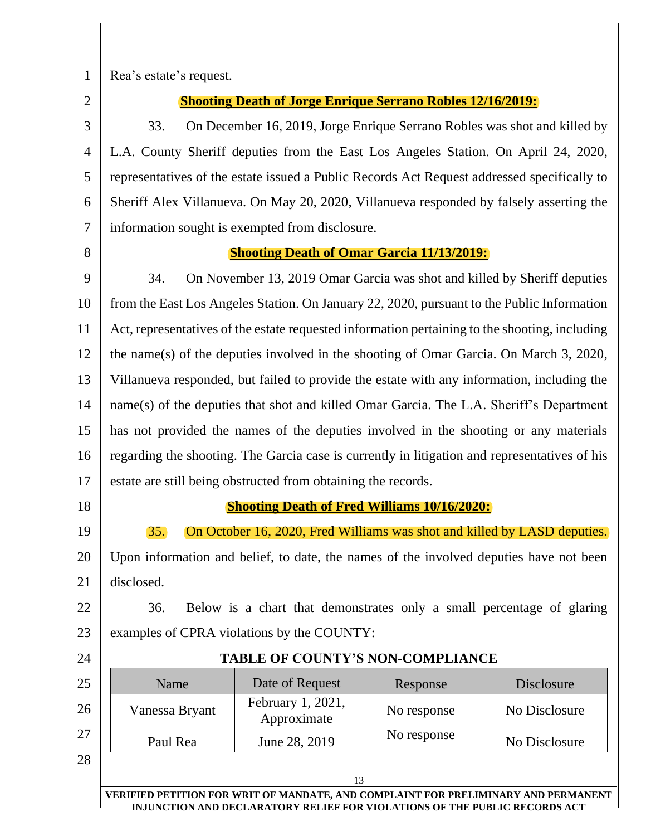1

Rea's estate's request.

2 3

4

5

6

7

#### **Shooting Death of Jorge Enrique Serrano Robles 12/16/2019:**

33. On December 16, 2019, Jorge Enrique Serrano Robles was shot and killed by L.A. County Sheriff deputies from the East Los Angeles Station. On April 24, 2020, representatives of the estate issued a Public Records Act Request addressed specifically to Sheriff Alex Villanueva. On May 20, 2020, Villanueva responded by falsely asserting the information sought is exempted from disclosure.

8

## **Shooting Death of Omar Garcia 11/13/2019:**

9 10 11 12 13 14 15 16 17 34. On November 13, 2019 Omar Garcia was shot and killed by Sheriff deputies from the East Los Angeles Station. On January 22, 2020, pursuant to the Public Information Act, representatives of the estate requested information pertaining to the shooting, including the name(s) of the deputies involved in the shooting of Omar Garcia. On March 3, 2020, Villanueva responded, but failed to provide the estate with any information, including the name(s) of the deputies that shot and killed Omar Garcia. The L.A. Sheriff's Department has not provided the names of the deputies involved in the shooting or any materials regarding the shooting. The Garcia case is currently in litigation and representatives of his estate are still being obstructed from obtaining the records.

18

19

#### **Shooting Death of Fred Williams 10/16/2020:**

35. On October 16, 2020, Fred Williams was shot and killed by LASD deputies.

20 21 Upon information and belief, to date, the names of the involved deputies have not been disclosed.

22 23 36. Below is a chart that demonstrates only a small percentage of glaring examples of CPRA violations by the COUNTY:

24

#### **TABLE OF COUNTY'S NON-COMPLIANCE**

| 25 | Name           | Date of Request                  | Response    | Disclosure    |
|----|----------------|----------------------------------|-------------|---------------|
| 26 | Vanessa Bryant | February 1, 2021,<br>Approximate | No response | No Disclosure |
| 27 | Paul Rea       | June 28, 2019                    | No response | No Disclosure |
| 28 |                |                                  |             |               |
|    |                |                                  | 13          |               |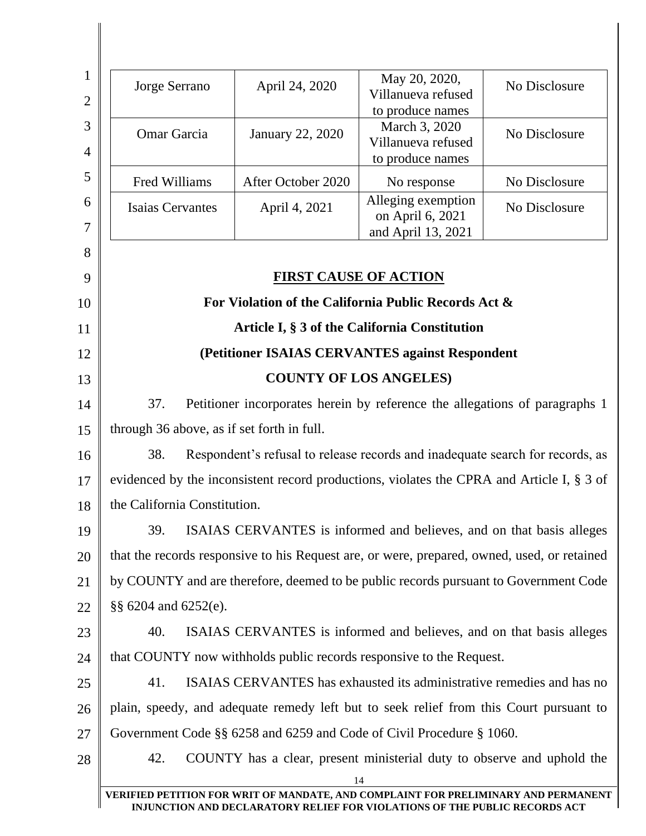|                                                                                             | April 24, 2020     | May 20, 2020,<br>Villanueva refused<br>to produce names                    | No Disclosure                                                                                                                                                                                                                                                                                                                                                                                                                                                                                                                                                                                                                                                                                                                                                                                                                                                                                                                                       |
|---------------------------------------------------------------------------------------------|--------------------|----------------------------------------------------------------------------|-----------------------------------------------------------------------------------------------------------------------------------------------------------------------------------------------------------------------------------------------------------------------------------------------------------------------------------------------------------------------------------------------------------------------------------------------------------------------------------------------------------------------------------------------------------------------------------------------------------------------------------------------------------------------------------------------------------------------------------------------------------------------------------------------------------------------------------------------------------------------------------------------------------------------------------------------------|
| Omar Garcia                                                                                 | January 22, 2020   | March 3, 2020<br>Villanueva refused<br>to produce names                    | No Disclosure                                                                                                                                                                                                                                                                                                                                                                                                                                                                                                                                                                                                                                                                                                                                                                                                                                                                                                                                       |
| Fred Williams                                                                               | After October 2020 | No response                                                                | No Disclosure                                                                                                                                                                                                                                                                                                                                                                                                                                                                                                                                                                                                                                                                                                                                                                                                                                                                                                                                       |
| <b>Isaias Cervantes</b>                                                                     | April 4, 2021      | Alleging exemption<br>on April 6, 2021                                     | No Disclosure                                                                                                                                                                                                                                                                                                                                                                                                                                                                                                                                                                                                                                                                                                                                                                                                                                                                                                                                       |
|                                                                                             |                    |                                                                            |                                                                                                                                                                                                                                                                                                                                                                                                                                                                                                                                                                                                                                                                                                                                                                                                                                                                                                                                                     |
|                                                                                             |                    |                                                                            |                                                                                                                                                                                                                                                                                                                                                                                                                                                                                                                                                                                                                                                                                                                                                                                                                                                                                                                                                     |
| Article I, § 3 of the California Constitution                                               |                    |                                                                            |                                                                                                                                                                                                                                                                                                                                                                                                                                                                                                                                                                                                                                                                                                                                                                                                                                                                                                                                                     |
| (Petitioner ISAIAS CERVANTES against Respondent                                             |                    |                                                                            |                                                                                                                                                                                                                                                                                                                                                                                                                                                                                                                                                                                                                                                                                                                                                                                                                                                                                                                                                     |
|                                                                                             |                    |                                                                            |                                                                                                                                                                                                                                                                                                                                                                                                                                                                                                                                                                                                                                                                                                                                                                                                                                                                                                                                                     |
| 37.                                                                                         |                    |                                                                            |                                                                                                                                                                                                                                                                                                                                                                                                                                                                                                                                                                                                                                                                                                                                                                                                                                                                                                                                                     |
|                                                                                             |                    |                                                                            |                                                                                                                                                                                                                                                                                                                                                                                                                                                                                                                                                                                                                                                                                                                                                                                                                                                                                                                                                     |
| 38.                                                                                         |                    |                                                                            |                                                                                                                                                                                                                                                                                                                                                                                                                                                                                                                                                                                                                                                                                                                                                                                                                                                                                                                                                     |
| evidenced by the inconsistent record productions, violates the CPRA and Article I, § 3 of   |                    |                                                                            |                                                                                                                                                                                                                                                                                                                                                                                                                                                                                                                                                                                                                                                                                                                                                                                                                                                                                                                                                     |
|                                                                                             |                    |                                                                            |                                                                                                                                                                                                                                                                                                                                                                                                                                                                                                                                                                                                                                                                                                                                                                                                                                                                                                                                                     |
| 39.                                                                                         |                    |                                                                            |                                                                                                                                                                                                                                                                                                                                                                                                                                                                                                                                                                                                                                                                                                                                                                                                                                                                                                                                                     |
| that the records responsive to his Request are, or were, prepared, owned, used, or retained |                    |                                                                            |                                                                                                                                                                                                                                                                                                                                                                                                                                                                                                                                                                                                                                                                                                                                                                                                                                                                                                                                                     |
| by COUNTY and are therefore, deemed to be public records pursuant to Government Code        |                    |                                                                            |                                                                                                                                                                                                                                                                                                                                                                                                                                                                                                                                                                                                                                                                                                                                                                                                                                                                                                                                                     |
| §§ 6204 and 6252(e).                                                                        |                    |                                                                            |                                                                                                                                                                                                                                                                                                                                                                                                                                                                                                                                                                                                                                                                                                                                                                                                                                                                                                                                                     |
| 40.                                                                                         |                    |                                                                            |                                                                                                                                                                                                                                                                                                                                                                                                                                                                                                                                                                                                                                                                                                                                                                                                                                                                                                                                                     |
|                                                                                             |                    |                                                                            |                                                                                                                                                                                                                                                                                                                                                                                                                                                                                                                                                                                                                                                                                                                                                                                                                                                                                                                                                     |
| 41.                                                                                         |                    |                                                                            |                                                                                                                                                                                                                                                                                                                                                                                                                                                                                                                                                                                                                                                                                                                                                                                                                                                                                                                                                     |
|                                                                                             |                    |                                                                            |                                                                                                                                                                                                                                                                                                                                                                                                                                                                                                                                                                                                                                                                                                                                                                                                                                                                                                                                                     |
|                                                                                             |                    |                                                                            |                                                                                                                                                                                                                                                                                                                                                                                                                                                                                                                                                                                                                                                                                                                                                                                                                                                                                                                                                     |
| 42.                                                                                         |                    |                                                                            |                                                                                                                                                                                                                                                                                                                                                                                                                                                                                                                                                                                                                                                                                                                                                                                                                                                                                                                                                     |
|                                                                                             |                    | through 36 above, as if set forth in full.<br>the California Constitution. | and April 13, 2021<br><b>FIRST CAUSE OF ACTION</b><br>For Violation of the California Public Records Act &<br><b>COUNTY OF LOS ANGELES)</b><br>Petitioner incorporates herein by reference the allegations of paragraphs 1<br>Respondent's refusal to release records and inadequate search for records, as<br>ISAIAS CERVANTES is informed and believes, and on that basis alleges<br>ISAIAS CERVANTES is informed and believes, and on that basis alleges<br>that COUNTY now withholds public records responsive to the Request.<br>ISAIAS CERVANTES has exhausted its administrative remedies and has no<br>plain, speedy, and adequate remedy left but to seek relief from this Court pursuant to<br>Government Code §§ 6258 and 6259 and Code of Civil Procedure § 1060.<br>COUNTY has a clear, present ministerial duty to observe and uphold the<br>14<br>VERIFIED PETITION FOR WRIT OF MANDATE, AND COMPLAINT FOR PRELIMINARY AND PERMANENT |

 $\mathsf{l}$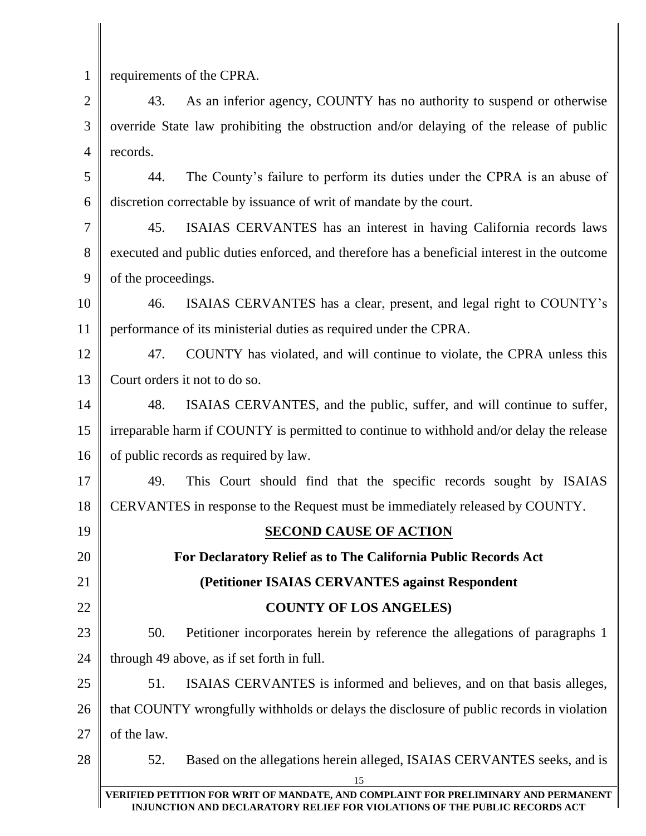| $\mathbf 1$    | requirements of the CPRA.                                                                   |  |
|----------------|---------------------------------------------------------------------------------------------|--|
| $\overline{2}$ | As an inferior agency, COUNTY has no authority to suspend or otherwise<br>43.               |  |
| 3              | override State law prohibiting the obstruction and/or delaying of the release of public     |  |
| $\overline{4}$ | records.                                                                                    |  |
| 5              | The County's failure to perform its duties under the CPRA is an abuse of<br>44.             |  |
| 6              | discretion correctable by issuance of writ of mandate by the court.                         |  |
| 7              | 45.<br>ISAIAS CERVANTES has an interest in having California records laws                   |  |
| 8              | executed and public duties enforced, and therefore has a beneficial interest in the outcome |  |
| 9              | of the proceedings.                                                                         |  |
| 10             | ISAIAS CERVANTES has a clear, present, and legal right to COUNTY's<br>46.                   |  |
| 11             | performance of its ministerial duties as required under the CPRA.                           |  |
| 12             | 47.<br>COUNTY has violated, and will continue to violate, the CPRA unless this              |  |
| 13             | Court orders it not to do so.                                                               |  |
| 14             | ISAIAS CERVANTES, and the public, suffer, and will continue to suffer,<br>48.               |  |
| 15             | irreparable harm if COUNTY is permitted to continue to withhold and/or delay the release    |  |
| 16             | of public records as required by law.                                                       |  |
| 17             | This Court should find that the specific records sought by ISAIAS<br>49.                    |  |
| 18             | CERVANTES in response to the Request must be immediately released by COUNTY.                |  |
| 19             | <b>SECOND CAUSE OF ACTION</b>                                                               |  |
| 20             | For Declaratory Relief as to The California Public Records Act                              |  |
| 21             | (Petitioner ISAIAS CERVANTES against Respondent                                             |  |
| 22             | <b>COUNTY OF LOS ANGELES)</b>                                                               |  |
| 23             | 50.<br>Petitioner incorporates herein by reference the allegations of paragraphs 1          |  |
| 24             | through 49 above, as if set forth in full.                                                  |  |
| 25             | 51.<br>ISAIAS CERVANTES is informed and believes, and on that basis alleges,                |  |
| 26             | that COUNTY wrongfully withholds or delays the disclosure of public records in violation    |  |
| 27             | of the law.                                                                                 |  |
| 28             | 52.<br>Based on the allegations herein alleged, ISAIAS CERVANTES seeks, and is              |  |
|                | 15<br>VERIFIED PETITION FOR WRIT OF MANDATE, AND COMPLAINT FOR PRELIMINARY AND PERMANENT    |  |
|                | INJUNCTION AND DECLARATORY RELIEF FOR VIOLATIONS OF THE PUBLIC RECORDS ACT                  |  |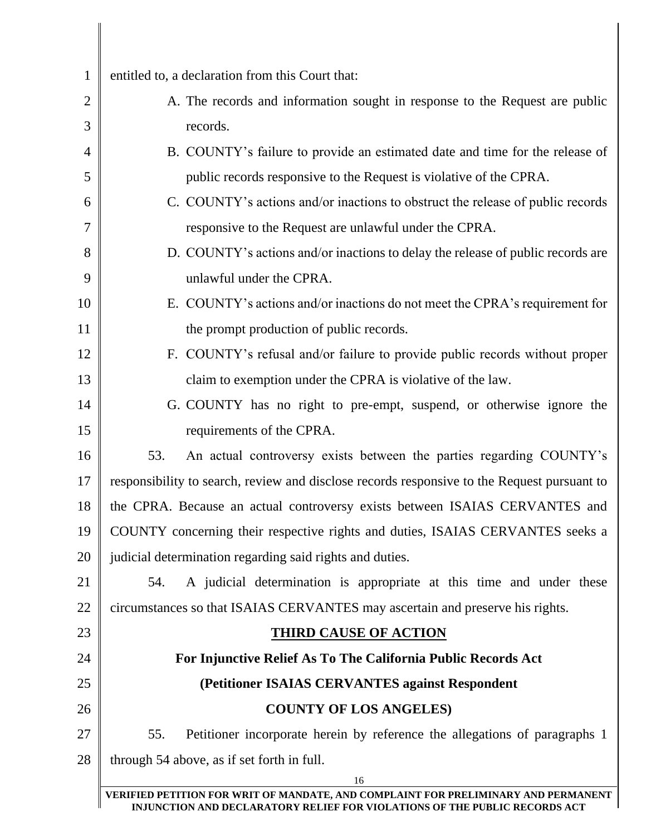| $\mathbf{1}$   | entitled to, a declaration from this Court that:                                                                                                                 |
|----------------|------------------------------------------------------------------------------------------------------------------------------------------------------------------|
| $\overline{2}$ | A. The records and information sought in response to the Request are public                                                                                      |
| 3              | records.                                                                                                                                                         |
| 4              | B. COUNTY's failure to provide an estimated date and time for the release of                                                                                     |
| 5              | public records responsive to the Request is violative of the CPRA.                                                                                               |
| 6              | C. COUNTY's actions and/or inactions to obstruct the release of public records                                                                                   |
| 7              | responsive to the Request are unlawful under the CPRA.                                                                                                           |
| 8              | D. COUNTY's actions and/or inactions to delay the release of public records are                                                                                  |
| 9              | unlawful under the CPRA.                                                                                                                                         |
| 10             | E. COUNTY's actions and/or inactions do not meet the CPRA's requirement for                                                                                      |
| 11             | the prompt production of public records.                                                                                                                         |
| 12             | F. COUNTY's refusal and/or failure to provide public records without proper                                                                                      |
| 13             | claim to exemption under the CPRA is violative of the law.                                                                                                       |
| 14             | G. COUNTY has no right to pre-empt, suspend, or otherwise ignore the                                                                                             |
| 15             | requirements of the CPRA.                                                                                                                                        |
| 16             | An actual controversy exists between the parties regarding COUNTY's<br>53.                                                                                       |
| 17             | responsibility to search, review and disclose records responsive to the Request pursuant to                                                                      |
| 18             | the CPRA. Because an actual controversy exists between ISAIAS CERVANTES and                                                                                      |
| 19             | COUNTY concerning their respective rights and duties, ISAIAS CERVANTES seeks a                                                                                   |
| 20             | judicial determination regarding said rights and duties.                                                                                                         |
| 21             | A judicial determination is appropriate at this time and under these<br>54.                                                                                      |
| 22             | circumstances so that ISAIAS CERVANTES may ascertain and preserve his rights.                                                                                    |
| 23             | <b>THIRD CAUSE OF ACTION</b>                                                                                                                                     |
| 24             | For Injunctive Relief As To The California Public Records Act                                                                                                    |
| 25             | (Petitioner ISAIAS CERVANTES against Respondent                                                                                                                  |
| 26             | <b>COUNTY OF LOS ANGELES)</b>                                                                                                                                    |
| 27             | Petitioner incorporate herein by reference the allegations of paragraphs 1<br>55.                                                                                |
| 28             | through 54 above, as if set forth in full.                                                                                                                       |
|                | 16                                                                                                                                                               |
|                | VERIFIED PETITION FOR WRIT OF MANDATE, AND COMPLAINT FOR PRELIMINARY AND PERMANENT<br>INJUNCTION AND DECLARATORY RELIEF FOR VIOLATIONS OF THE PUBLIC RECORDS ACT |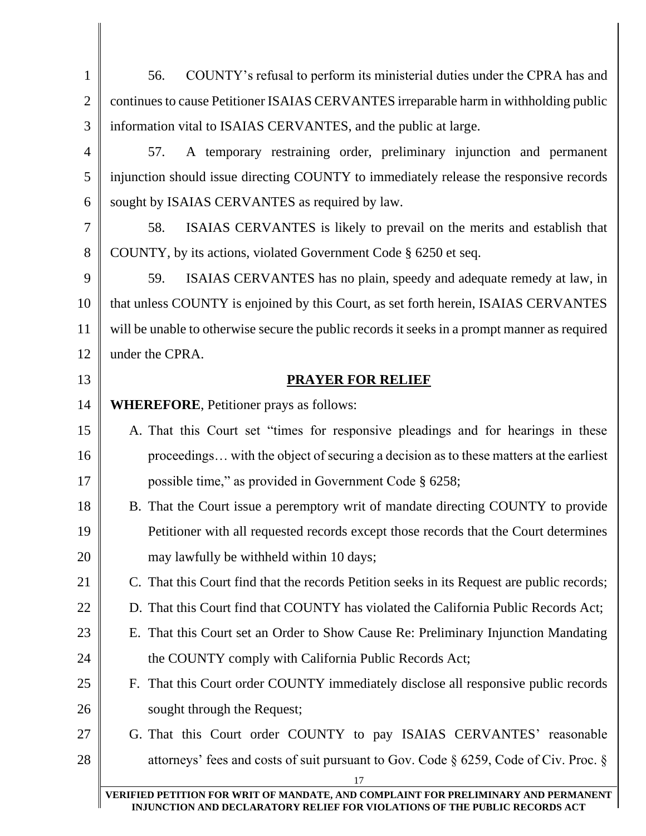| $\mathbf{1}$   | COUNTY's refusal to perform its ministerial duties under the CPRA has and<br>56.              |
|----------------|-----------------------------------------------------------------------------------------------|
| $\overline{2}$ | continues to cause Petitioner ISAIAS CERVANTES irreparable harm in withholding public         |
| 3              | information vital to ISAIAS CERVANTES, and the public at large.                               |
| 4              | A temporary restraining order, preliminary injunction and permanent<br>57.                    |
| 5              | injunction should issue directing COUNTY to immediately release the responsive records        |
| 6              | sought by ISAIAS CERVANTES as required by law.                                                |
| 7              | 58.<br>ISAIAS CERVANTES is likely to prevail on the merits and establish that                 |
| 8              | COUNTY, by its actions, violated Government Code § 6250 et seq.                               |
| 9              | 59.<br>ISAIAS CERVANTES has no plain, speedy and adequate remedy at law, in                   |
| 10             | that unless COUNTY is enjoined by this Court, as set forth herein, ISAIAS CERVANTES           |
| 11             | will be unable to otherwise secure the public records it seeks in a prompt manner as required |
| 12             | under the CPRA.                                                                               |
| 13             | <b>PRAYER FOR RELIEF</b>                                                                      |
| 14             | <b>WHEREFORE, Petitioner prays as follows:</b>                                                |
| 15             | A. That this Court set "times for responsive pleadings and for hearings in these              |
| 16             | proceedings with the object of securing a decision as to these matters at the earliest        |
| 17             | possible time," as provided in Government Code § 6258;                                        |
| 18             | B. That the Court issue a peremptory writ of mandate directing COUNTY to provide              |
| 19             | Petitioner with all requested records except those records that the Court determines          |
| 20             | may lawfully be withheld within 10 days;                                                      |
| 21             | C. That this Court find that the records Petition seeks in its Request are public records;    |
| 22             | D. That this Court find that COUNTY has violated the California Public Records Act;           |
| 23             | E. That this Court set an Order to Show Cause Re: Preliminary Injunction Mandating            |
| 24             | the COUNTY comply with California Public Records Act;                                         |
| 25             | F. That this Court order COUNTY immediately disclose all responsive public records            |
| 26             | sought through the Request;                                                                   |
| 27             | G. That this Court order COUNTY to pay ISAIAS CERVANTES' reasonable                           |
| 28             | attorneys' fees and costs of suit pursuant to Gov. Code $\S$ 6259, Code of Civ. Proc. $\S$    |
|                | 17<br>VERIFIED PETITION FOR WRIT OF MANDATE, AND COMPLAINT FOR PRELIMINARY AND PERMANENT      |
|                | INJUNCTION AND DECLARATORY RELIEF FOR VIOLATIONS OF THE PUBLIC RECORDS ACT                    |